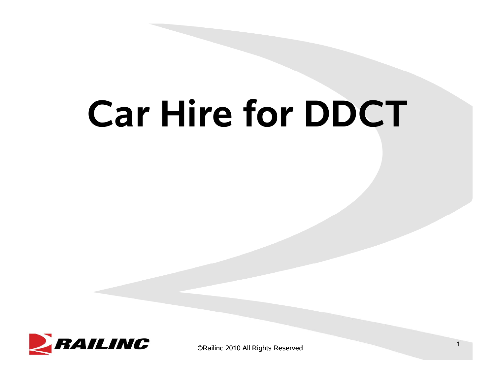# **Car Hire for DDCT**



©Railinc 2010 All Rights Reserved <sup>1</sup>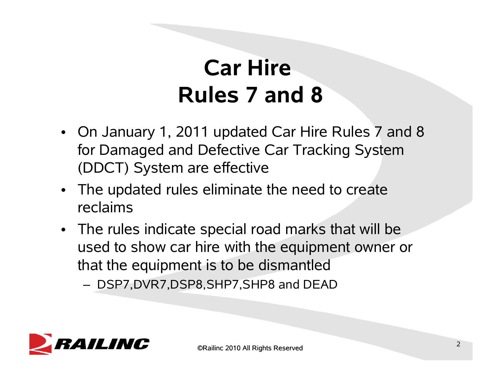# **Car Hire Rules 7 and 8**

- On January 1, 2011 updated Car Hire Rules 7 and 8 for Damaged and Defective Car Tracking System (DDCT) System are effective
- The updated rules eliminate the need to create reclaims
- The rules indicate special road marks that will be used to show car hire with the equipment owner or that the equipment is to be dismantled
	- DSP7,DVR7,DSP8,SHP7,SHP8 and DEAD

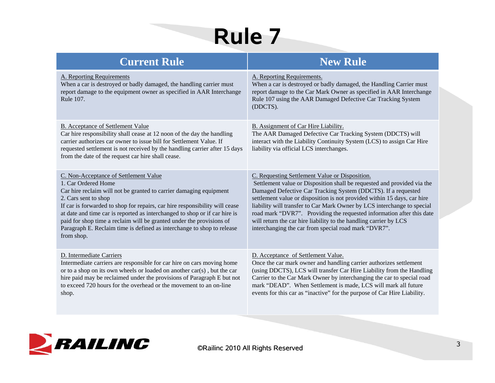# **Rule 7**

| <b>Current Rule</b>                                                                                                                                                                                                                                                                                                                                                                                                                                                                     | <b>New Rule</b>                                                                                                                                                                                                                                                                                                                                                                                                                                                                                                                                         |
|-----------------------------------------------------------------------------------------------------------------------------------------------------------------------------------------------------------------------------------------------------------------------------------------------------------------------------------------------------------------------------------------------------------------------------------------------------------------------------------------|---------------------------------------------------------------------------------------------------------------------------------------------------------------------------------------------------------------------------------------------------------------------------------------------------------------------------------------------------------------------------------------------------------------------------------------------------------------------------------------------------------------------------------------------------------|
| A. Reporting Requirements<br>When a car is destroyed or badly damaged, the handling carrier must<br>report damage to the equipment owner as specified in AAR Interchange<br>Rule 107.                                                                                                                                                                                                                                                                                                   | A. Reporting Requirements.<br>When a car is destroyed or badly damaged, the Handling Carrier must<br>report damage to the Car Mark Owner as specified in AAR Interchange<br>Rule 107 using the AAR Damaged Defective Car Tracking System<br>(DDCTS).                                                                                                                                                                                                                                                                                                    |
| B. Acceptance of Settlement Value<br>Car hire responsibility shall cease at 12 noon of the day the handling<br>carrier authorizes car owner to issue bill for Settlement Value. If<br>requested settlement is not received by the handling carrier after 15 days<br>from the date of the request car hire shall cease.                                                                                                                                                                  | B. Assignment of Car Hire Liability.<br>The AAR Damaged Defective Car Tracking System (DDCTS) will<br>interact with the Liability Continuity System (LCS) to assign Car Hire<br>liability via official LCS interchanges.                                                                                                                                                                                                                                                                                                                                |
| C. Non-Acceptance of Settlement Value<br>1. Car Ordered Home<br>Car hire reclaim will not be granted to carrier damaging equipment<br>2. Cars sent to shop<br>If car is forwarded to shop for repairs, car hire responsibility will cease<br>at date and time car is reported as interchanged to shop or if car hire is<br>paid for shop time a reclaim will be granted under the provisions of<br>Paragraph E. Reclaim time is defined as interchange to shop to release<br>from shop. | C. Requesting Settlement Value or Disposition.<br>Settlement value or Disposition shall be requested and provided via the<br>Damaged Defective Car Tracking System (DDCTS). If a requested<br>settlement value or disposition is not provided within 15 days, car hire<br>liability will transfer to Car Mark Owner by LCS interchange to special<br>road mark "DVR7". Providing the requested information after this date<br>will return the car hire liability to the handling carrier by LCS<br>interchanging the car from special road mark "DVR7". |
| D. Intermediate Carriers<br>Intermediate carriers are responsible for car hire on cars moving home<br>or to a shop on its own wheels or loaded on another car(s), but the car<br>hire paid may be reclaimed under the provisions of Paragraph E but not<br>to exceed 720 hours for the overhead or the movement to an on-line<br>shop.                                                                                                                                                  | D. Acceptance of Settlement Value.<br>Once the car mark owner and handling carrier authorizes settlement<br>(using DDCTS), LCS will transfer Car Hire Liability from the Handling<br>Carrier to the Car Mark Owner by interchanging the car to special road<br>mark "DEAD". When Settlement is made, LCS will mark all future<br>events for this car as "inactive" for the purpose of Car Hire Liability.                                                                                                                                               |

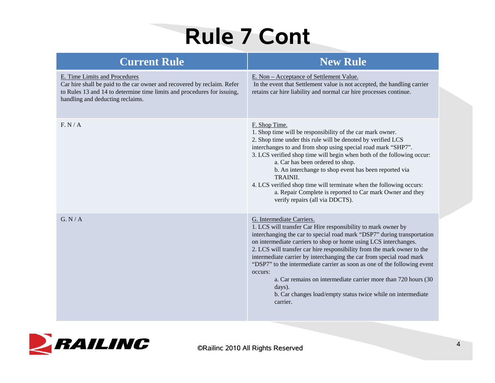# **Rule 7 Cont**

| <b>Current Rule</b>                                                                                                                                                                                                     | <b>New Rule</b>                                                                                                                                                                                                                                                                                                                                                                                                                                                                                                                                                                                                                             |
|-------------------------------------------------------------------------------------------------------------------------------------------------------------------------------------------------------------------------|---------------------------------------------------------------------------------------------------------------------------------------------------------------------------------------------------------------------------------------------------------------------------------------------------------------------------------------------------------------------------------------------------------------------------------------------------------------------------------------------------------------------------------------------------------------------------------------------------------------------------------------------|
| E. Time Limits and Procedures<br>Car hire shall be paid to the car owner and recovered by reclaim. Refer<br>to Rules 13 and 14 to determine time limits and procedures for issuing,<br>handling and deducting reclaims. | E. Non – Acceptance of Settlement Value.<br>In the event that Settlement value is not accepted, the handling carrier<br>retains car hire liability and normal car hire processes continue.                                                                                                                                                                                                                                                                                                                                                                                                                                                  |
| F. N/A                                                                                                                                                                                                                  | F. Shop Time.<br>1. Shop time will be responsibility of the car mark owner.<br>2. Shop time under this rule will be denoted by verified LCS<br>interchanges to and from shop using special road mark "SHP7".<br>3. LCS verified shop time will begin when both of the following occur:<br>a. Car has been ordered to shop.<br>b. An interchange to shop event has been reported via<br>TRAINII.<br>4. LCS verified shop time will terminate when the following occurs:<br>a. Repair Complete is reported to Car mark Owner and they<br>verify repairs (all via DDCTS).                                                                      |
| G. N/A                                                                                                                                                                                                                  | G. Intermediate Carriers.<br>1. LCS will transfer Car Hire responsibility to mark owner by<br>interchanging the car to special road mark "DSP7" during transportation<br>on intermediate carriers to shop or home using LCS interchanges.<br>2. LCS will transfer car hire responsibility from the mark owner to the<br>intermediate carrier by interchanging the car from special road mark<br>"DSP7" to the intermediate carrier as soon as one of the following event<br>occurs:<br>a. Car remains on intermediate carrier more than 720 hours (30<br>days).<br>b. Car changes load/empty status twice while on intermediate<br>carrier. |

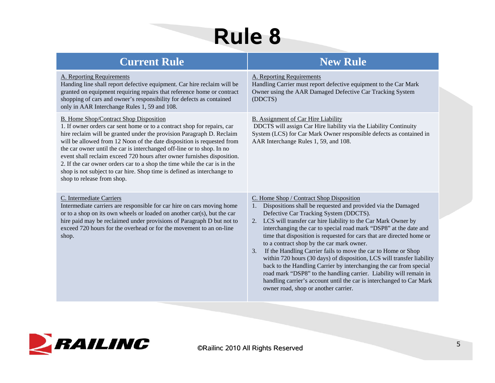# **Rule 8**

| <b>Current Rule</b>                                                                                                                                                                                                                                                                                                                                                                                                                                                                                                                                                                                                    | <b>New Rule</b>                                                                                                                                                                                                                                                                                                                                                                                                                                                                                                                                                                                                                                                                                                                                                                                                                      |
|------------------------------------------------------------------------------------------------------------------------------------------------------------------------------------------------------------------------------------------------------------------------------------------------------------------------------------------------------------------------------------------------------------------------------------------------------------------------------------------------------------------------------------------------------------------------------------------------------------------------|--------------------------------------------------------------------------------------------------------------------------------------------------------------------------------------------------------------------------------------------------------------------------------------------------------------------------------------------------------------------------------------------------------------------------------------------------------------------------------------------------------------------------------------------------------------------------------------------------------------------------------------------------------------------------------------------------------------------------------------------------------------------------------------------------------------------------------------|
| A. Reporting Requirements<br>Handing line shall report defective equipment. Car hire reclaim will be<br>granted on equipment requiring repairs that reference home or contract<br>shopping of cars and owner's responsibility for defects as contained<br>only in AAR Interchange Rules 1, 59 and 108.                                                                                                                                                                                                                                                                                                                 | A. Reporting Requirements<br>Handling Carrier must report defective equipment to the Car Mark<br>Owner using the AAR Damaged Defective Car Tracking System<br>(DDCTS)                                                                                                                                                                                                                                                                                                                                                                                                                                                                                                                                                                                                                                                                |
| <b>B.</b> Home Shop/Contract Shop Disposition<br>1. If owner orders car sent home or to a contract shop for repairs, car<br>hire reclaim will be granted under the provision Paragraph D. Reclaim<br>will be allowed from 12 Noon of the date disposition is requested from<br>the car owner until the car is interchanged off-line or to shop. In no<br>event shall reclaim exceed 720 hours after owner furnishes disposition.<br>2. If the car owner orders car to a shop the time while the car is in the<br>shop is not subject to car hire. Shop time is defined as interchange to<br>shop to release from shop. | <b>B.</b> Assignment of Car Hire Liability<br>DDCTS will assign Car Hire liability via the Liability Continuity<br>System (LCS) for Car Mark Owner responsible defects as contained in<br>AAR Interchange Rules 1, 59, and 108.                                                                                                                                                                                                                                                                                                                                                                                                                                                                                                                                                                                                      |
| C. Intermediate Carriers<br>Intermediate carriers are responsible for car hire on cars moving home<br>or to a shop on its own wheels or loaded on another car(s), but the car<br>hire paid may be reclaimed under provisions of Paragraph D but not to<br>exceed 720 hours for the overhead or for the movement to an on-line<br>shop.                                                                                                                                                                                                                                                                                 | C. Home Shop / Contract Shop Disposition<br>Dispositions shall be requested and provided via the Damaged<br>1.<br>Defective Car Tracking System (DDCTS).<br>2. LCS will transfer car hire liability to the Car Mark Owner by<br>interchanging the car to special road mark "DSP8" at the date and<br>time that disposition is requested for cars that are directed home or<br>to a contract shop by the car mark owner.<br>If the Handling Carrier fails to move the car to Home or Shop<br>3.<br>within 720 hours (30 days) of disposition, LCS will transfer liability<br>back to the Handling Carrier by interchanging the car from special<br>road mark "DSP8" to the handling carrier. Liability will remain in<br>handling carrier's account until the car is interchanged to Car Mark<br>owner road, shop or another carrier. |

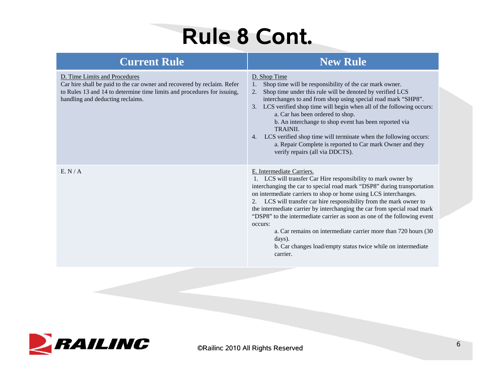# **Rule 8 Cont.**

| <b>Current Rule</b>                                                                                                                                                                                                     | <b>New Rule</b>                                                                                                                                                                                                                                                                                                                                                                                                                                                                                                                                                                                                                             |
|-------------------------------------------------------------------------------------------------------------------------------------------------------------------------------------------------------------------------|---------------------------------------------------------------------------------------------------------------------------------------------------------------------------------------------------------------------------------------------------------------------------------------------------------------------------------------------------------------------------------------------------------------------------------------------------------------------------------------------------------------------------------------------------------------------------------------------------------------------------------------------|
| D. Time Limits and Procedures<br>Car hire shall be paid to the car owner and recovered by reclaim. Refer<br>to Rules 13 and 14 to determine time limits and procedures for issuing,<br>handling and deducting reclaims. | D. Shop Time<br>Shop time will be responsibility of the car mark owner.<br>$\mathbf{1}$ .<br>Shop time under this rule will be denoted by verified LCS<br>2.<br>interchanges to and from shop using special road mark "SHP8".<br>3. LCS verified shop time will begin when all of the following occurs:<br>a. Car has been ordered to shop.<br>b. An interchange to shop event has been reported via<br>TRAINII.<br>LCS verified shop time will terminate when the following occurs:<br>4.<br>a. Repair Complete is reported to Car mark Owner and they<br>verify repairs (all via DDCTS).                                                  |
| E. N/A                                                                                                                                                                                                                  | E. Intermediate Carriers.<br>1. LCS will transfer Car Hire responsibility to mark owner by<br>interchanging the car to special road mark "DSP8" during transportation<br>on intermediate carriers to shop or home using LCS interchanges.<br>2. LCS will transfer car hire responsibility from the mark owner to<br>the intermediate carrier by interchanging the car from special road mark<br>"DSP8" to the intermediate carrier as soon as one of the following event<br>occurs:<br>a. Car remains on intermediate carrier more than 720 hours (30<br>days).<br>b. Car changes load/empty status twice while on intermediate<br>carrier. |

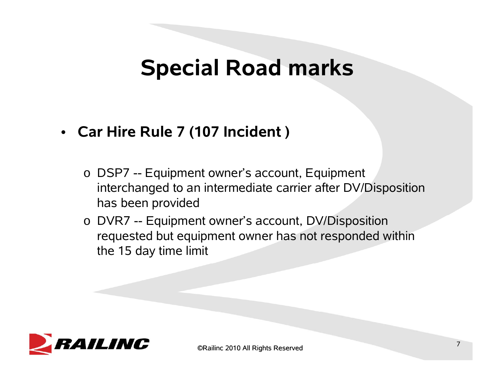### **Special Road marks**

#### • **Car Hire Rule 7 (107 Incident )**

- o DSP7 -- Equipment owner's account, Equipment interchanged to an intermediate carrier after DV/Disposition has been provided
- o DVR7 -- Equipment owner's account, DV/Disposition requested but equipment owner has not responded within the 15 day time limit

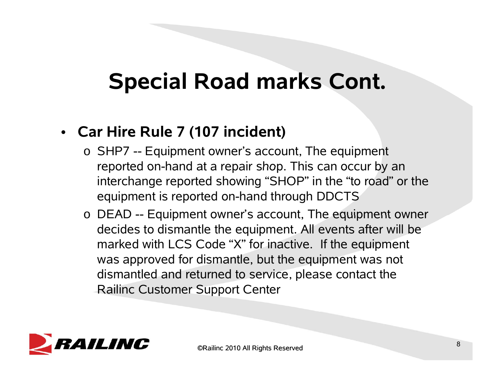# **Special Road marks Cont.**

#### • **Car Hire Rule 7 (107 incident)**

- o SHP7 -- Equipment owner's account, The equipment reported on-hand at a repair shop. This can occur by an interchange reported showing "SHOP" in the "to road" or the equipment is reported on-hand through DDCTS
- $\circ$  DEAD -- Equipment owner's account, The equipment owner decides to dismantle the equipment. All events after will be marked with LCS Code "X" for inactive. If the equipment was approved for dismantle, but the equipment was not dismantled and returned to service, please contact the Railinc Customer Support Center

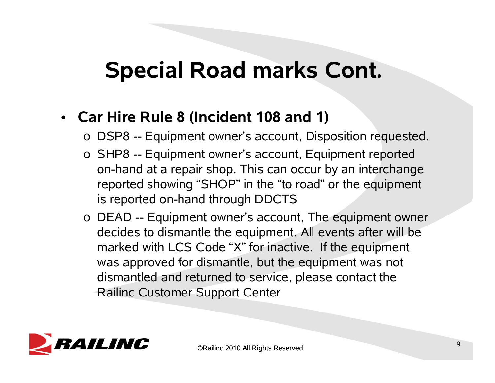### **Special Road marks Cont Cont.**

#### • **Car Hire Rule 8 (Incident 108 and 1)**

- o DSP8 -- Equipment owner's account, Disposition requested.
- o SHP8 -- Equipment owner's account, Equipment reported on-hand at a repair shop. This can occur by an interchange reported showing "SHOP" in the "to road" or the equipment is reported on-hand through DDCTS
- $\circ$  DEAD -- Equipment owner's account, The equipment owner decides to dismantle the equipment. All events after will be marked with LCS Code "X" for inactive. If the equipment was approved for dismantle, but the equipment was not dismantled and returned to service, please contact the Railinc Customer Support Center

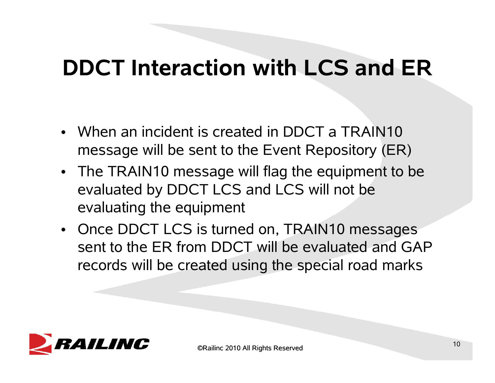## **DDCT Interaction with LCS and ER**

- When an incident is created in DDCT a TRAIN10 message will be sent to the Event Repository (ER)
- The TRAIN10 message will flag the equipment to be evaluated by DDCT LCS and LCS will not be evaluating the equipment
- Once DDCT LCS is turned on, TRAIN10 messages sent to the ER from DDCT will be evaluated and GAP records will be created using the special road marks

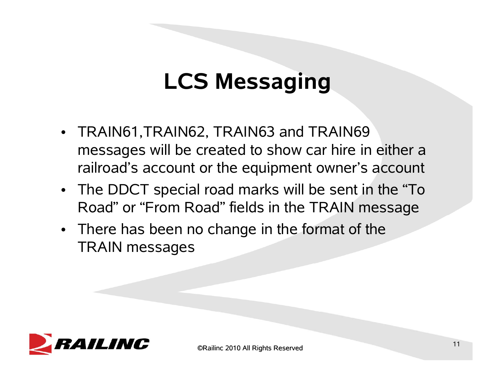# **LCS Messaging**

- TRAIN61,TRAIN62, TRAIN63 and TRAIN69 messages will be created to show car hire in either a railroad's account or the equipment owner's account
- The DDCT special road marks will be sent in the "To Road" or "From Road" fields in the TRAIN messa g e
- There has been no change in the format of the TRAIN messages

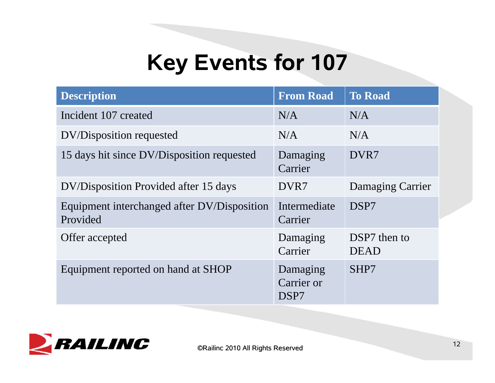# **Key Events for 107**

| <b>Description</b>                                      | <b>From Road</b>               | <b>To Road</b>              |
|---------------------------------------------------------|--------------------------------|-----------------------------|
| Incident 107 created                                    | N/A                            | N/A                         |
| DV/Disposition requested                                | N/A                            | N/A                         |
| 15 days hit since DV/Disposition requested              | Damaging<br>Carrier            | DVR7                        |
| DV/Disposition Provided after 15 days                   | DVR7                           | Damaging Carrier            |
| Equipment interchanged after DV/Disposition<br>Provided | Intermediate<br>Carrier        | DSP7                        |
| Offer accepted                                          | Damaging<br>Carrier            | DSP7 then to<br><b>DEAD</b> |
| Equipment reported on hand at SHOP                      | Damaging<br>Carrier or<br>DSP7 | SHP7                        |

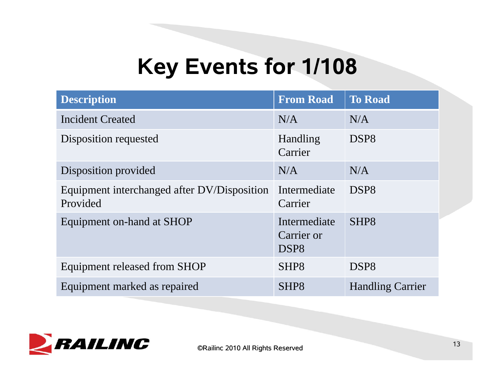## **Key Events for 1/108**

| <b>Description</b>                                      | <b>From Road</b>                               | <b>To Road</b>          |
|---------------------------------------------------------|------------------------------------------------|-------------------------|
| <b>Incident Created</b>                                 | N/A                                            | N/A                     |
| Disposition requested                                   | Handling<br>Carrier                            | DSP <sub>8</sub>        |
| Disposition provided                                    | N/A                                            | N/A                     |
| Equipment interchanged after DV/Disposition<br>Provided | Intermediate<br>Carrier                        | DSP <sub>8</sub>        |
| Equipment on-hand at SHOP                               | Intermediate<br>Carrier or<br>DSP <sub>8</sub> | SHP <sub>8</sub>        |
| Equipment released from SHOP                            | SHP <sub>8</sub>                               | DSP <sub>8</sub>        |
| Equipment marked as repaired                            | SHP <sub>8</sub>                               | <b>Handling Carrier</b> |

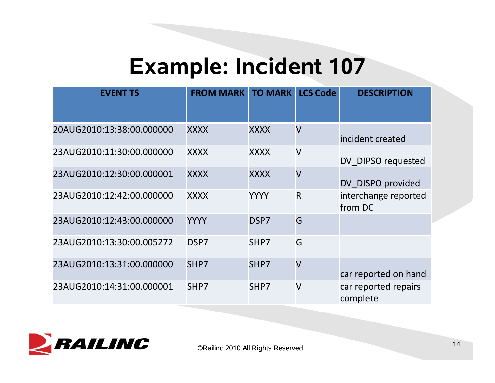## **Example: Incident 107**

| <b>EVENT TS</b>           | <b>FROM MARK</b> | <b>TO MARK</b> | <b>LCS Code</b>         | <b>DESCRIPTION</b>               |
|---------------------------|------------------|----------------|-------------------------|----------------------------------|
| 20AUG2010:13:38:00.000000 | <b>XXXX</b>      | <b>XXXX</b>    | $\overline{\mathsf{V}}$ | incident created                 |
| 23AUG2010:11:30:00.000000 | <b>XXXX</b>      | <b>XXXX</b>    | $\overline{\mathsf{V}}$ | DV DIPSO requested               |
| 23AUG2010:12:30:00.000001 | <b>XXXX</b>      | <b>XXXX</b>    | $\overline{\mathsf{V}}$ | DV DISPO provided                |
| 23AUG2010:12:42:00.000000 | <b>XXXX</b>      | <b>YYYY</b>    | $\overline{\mathsf{R}}$ | interchange reported<br>from DC  |
| 23AUG2010:12:43:00.000000 | <b>YYYY</b>      | DSP7           | G                       |                                  |
| 23AUG2010:13:30:00.005272 | DSP7             | SHP7           | G                       |                                  |
| 23AUG2010:13:31:00.000000 | SHP7             | SHP7           | $\overline{\mathsf{V}}$ | car reported on hand             |
| 23AUG2010:14:31:00.000001 | SHP7             | SHP7           | $\vee$                  | car reported repairs<br>complete |

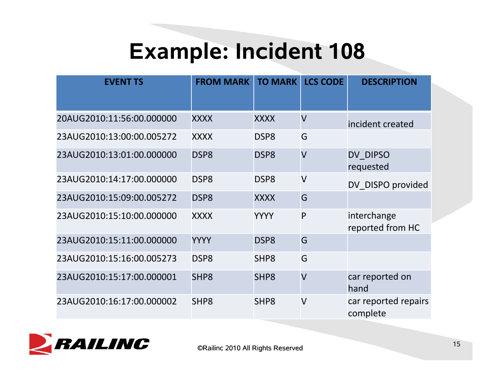# **Example: Incident 108**

| <b>EVENT TS</b>           | <b>FROM MARK</b> | <b>TO MARK</b>   | <b>LCS CODE</b>         | <b>DESCRIPTION</b>               |
|---------------------------|------------------|------------------|-------------------------|----------------------------------|
| 20AUG2010:11:56:00.000000 | <b>XXXX</b>      | <b>XXXX</b>      | $\overline{\mathsf{V}}$ | incident created                 |
| 23AUG2010:13:00:00.005272 | <b>XXXX</b>      | DSP <sub>8</sub> | G                       |                                  |
| 23AUG2010:13:01:00.000000 | DSP8             | DSP <sub>8</sub> | $\overline{\mathsf{V}}$ | DV DIPSO<br>requested            |
| 23AUG2010:14:17:00.000000 | DSP <sub>8</sub> | DSP <sub>8</sub> | $\overline{\mathsf{V}}$ | DV DISPO provided                |
| 23AUG2010:15:09:00.005272 | DSP <sub>8</sub> | <b>XXXX</b>      | G                       |                                  |
| 23AUG2010:15:10:00.000000 | <b>XXXX</b>      | <b>YYYY</b>      | P                       | interchange<br>reported from HC  |
| 23AUG2010:15:11:00.000000 | <b>YYYY</b>      | DSP <sub>8</sub> | G                       |                                  |
| 23AUG2010:15:16:00.005273 | DSP <sub>8</sub> | SHP <sub>8</sub> | G                       |                                  |
| 23AUG2010:15:17:00.000001 | SHP <sub>8</sub> | SHP <sub>8</sub> | $\overline{\mathsf{V}}$ | car reported on<br>hand          |
| 23AUG2010:16:17:00.000002 | SHP <sub>8</sub> | SHP <sub>8</sub> | $\overline{\mathsf{V}}$ | car reported repairs<br>complete |

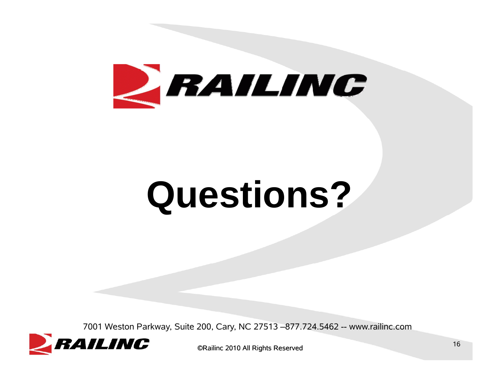

# **Questions?**

7001 Weston Parkway, Suite 200, Cary, NC 27513 –877.724.5462 -- www.railinc.com



©Railinc 2010 All Rights Reserved <sup>16</sup>